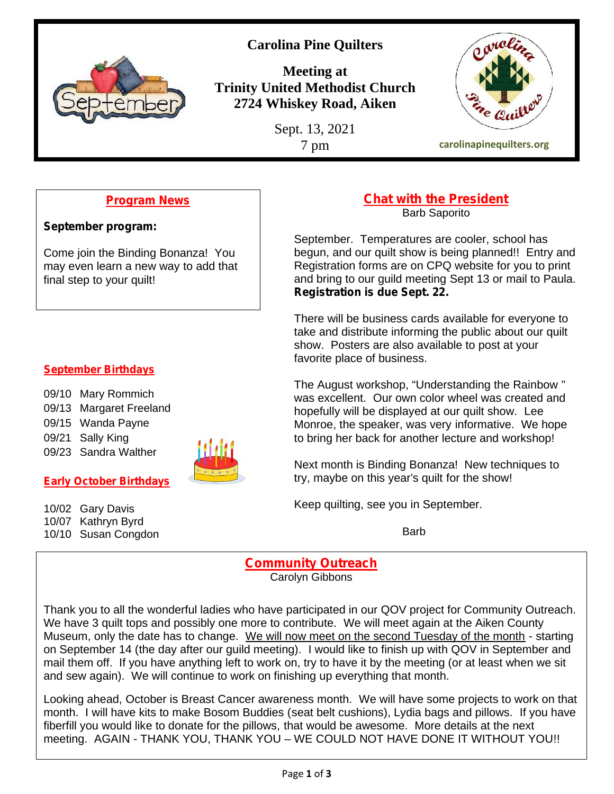

# **Carolina Pine Quilters**

**Meeting at Trinity United Methodist Church 2724 Whiskey Road, Aiken**

Sept. 13, 2021



# **Program News**

**September program:**

Come join the Binding Bonanza! You may even learn a new way to add that final step to your quilt!

#### **September Birthdays**

- 09/10 Mary Rommich 09/13 Margaret Freeland 09/15 Wanda Payne 09/21 Sally King
- 
- 09/23 Sandra Walther

## **Early October Birthdays**

10/02 Gary Davis 10/07 Kathryn Byrd 10/10 Susan Congdon



#### **Chat with the President** Barb Saporito

September. Temperatures are cooler, school has begun, and our quilt show is being planned!! Entry and Registration forms are on CPQ website for you to print and bring to our guild meeting Sept 13 or mail to Paula. **Registration is due Sept. 22.**

There will be business cards available for everyone to take and distribute informing the public about our quilt show. Posters are also available to post at your favorite place of business.

The August workshop, "Understanding the Rainbow '' was excellent. Our own color wheel was created and hopefully will be displayed at our quilt show. Lee Monroe, the speaker, was very informative. We hope to bring her back for another lecture and workshop!

Next month is Binding Bonanza! New techniques to try, maybe on this year's quilt for the show!

Keep quilting, see you in September.

**Barb** 

# **Community Outreach**

Carolyn Gibbons

Thank you to all the wonderful ladies who have participated in our QOV project for Community Outreach. We have 3 quilt tops and possibly one more to contribute. We will meet again at the Aiken County Museum, only the date has to change. We will now meet on the second Tuesday of the month - starting on September 14 (the day after our guild meeting). I would like to finish up with QOV in September and mail them off. If you have anything left to work on, try to have it by the meeting (or at least when we sit and sew again). We will continue to work on finishing up everything that month.

Looking ahead, October is Breast Cancer awareness month. We will have some projects to work on that month. I will have kits to make Bosom Buddies (seat belt cushions), Lydia bags and pillows. If you have fiberfill you would like to donate for the pillows, that would be awesome. More details at the next meeting. AGAIN - THANK YOU, THANK YOU – WE COULD NOT HAVE DONE IT WITHOUT YOU!!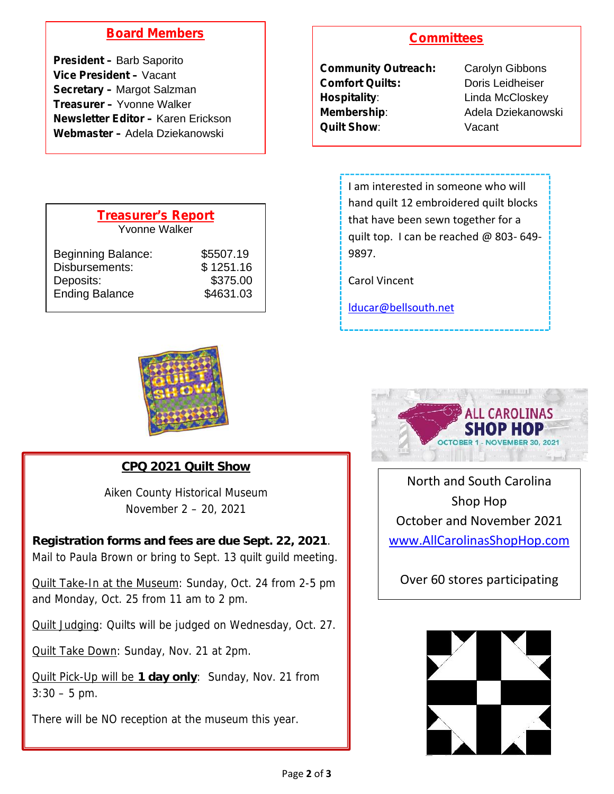# **Board Members**

**President –** Barb Saporito **Vice President –** Vacant **Secretary –** Margot Salzman **Treasurer –** Yvonne Walker **Newsletter Editor –** Karen Erickson **Webmaster –** Adela Dziekanowski

| <b>Treasurer's Report</b><br>Yvonne Walker                                        |                                                 |  |
|-----------------------------------------------------------------------------------|-------------------------------------------------|--|
| <b>Beginning Balance:</b><br>Disbursements:<br>Deposits:<br><b>Ending Balance</b> | \$5507.19<br>\$1251.16<br>\$375.00<br>\$4631.03 |  |



**CPQ 2021 Quilt Show**

Aiken County Historical Museum November 2 – 20, 2021

**Registration forms and fees are due Sept. 22, 2021**. Mail to Paula Brown or bring to Sept. 13 quilt guild meeting.

Quilt Take-In at the Museum: Sunday, Oct. 24 from 2-5 pm and Monday, Oct. 25 from 11 am to 2 pm.

Quilt Judging: Quilts will be judged on Wednesday, Oct. 27.

Quilt Take Down: Sunday, Nov. 21 at 2pm.

Quilt Pick-Up will be **1 day only**: Sunday, Nov. 21 from  $3:30 - 5$  pm.

There will be NO reception at the museum this year.

## **Committees**

| <b>Community Outreach:</b> |
|----------------------------|
| <b>Comfort Quilts:</b>     |
| Hospitality:               |
| <b>Membership:</b>         |
| <b>Quilt Show</b> :        |
|                            |

**Carolyn Gibbons** Doris Leidheiser **Linda McCloskey Membership**: Adela Dziekanowski Vacant

I am interested in someone who will hand quilt 12 embroidered quilt blocks that have been sewn together for a quilt top. I can be reached @ 803- 649- 9897.

Carol Vincent

lducar@bellsouth.net



North and South Carolina Shop Hop October and November 2021 www.AllCarolinasShopHop.com

Over 60 stores participating